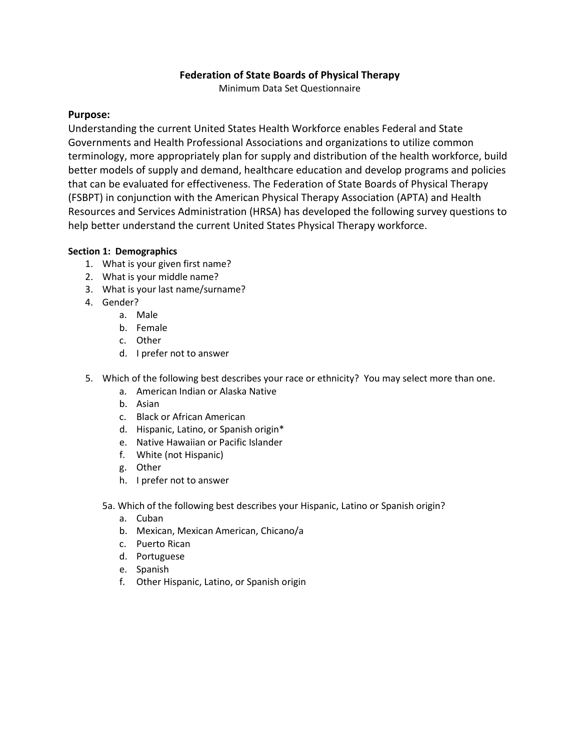# **Federation of State Boards of Physical Therapy**

Minimum Data Set Questionnaire

## **Purpose:**

Understanding the current United States Health Workforce enables Federal and State Governments and Health Professional Associations and organizations to utilize common terminology, more appropriately plan for supply and distribution of the health workforce, build better models of supply and demand, healthcare education and develop programs and policies that can be evaluated for effectiveness. The Federation of State Boards of Physical Therapy (FSBPT) in conjunction with the American Physical Therapy Association (APTA) and Health Resources and Services Administration (HRSA) has developed the following survey questions to help better understand the current United States Physical Therapy workforce.

### **Section 1: Demographics**

- 1. What is your given first name?
- 2. What is your middle name?
- 3. What is your last name/surname?
- 4. Gender?
	- a. Male
	- b. Female
	- c. Other
	- d. I prefer not to answer
- 5. Which of the following best describes your race or ethnicity? You may select more than one.
	- a. American Indian or Alaska Native
	- b. Asian
	- c. Black or African American
	- d. Hispanic, Latino, or Spanish origin\*
	- e. Native Hawaiian or Pacific Islander
	- f. White (not Hispanic)
	- g. Other
	- h. I prefer not to answer
	- 5a. Which of the following best describes your Hispanic, Latino or Spanish origin?
		- a. Cuban
		- b. Mexican, Mexican American, Chicano/a
		- c. Puerto Rican
		- d. Portuguese
		- e. Spanish
		- f. Other Hispanic, Latino, or Spanish origin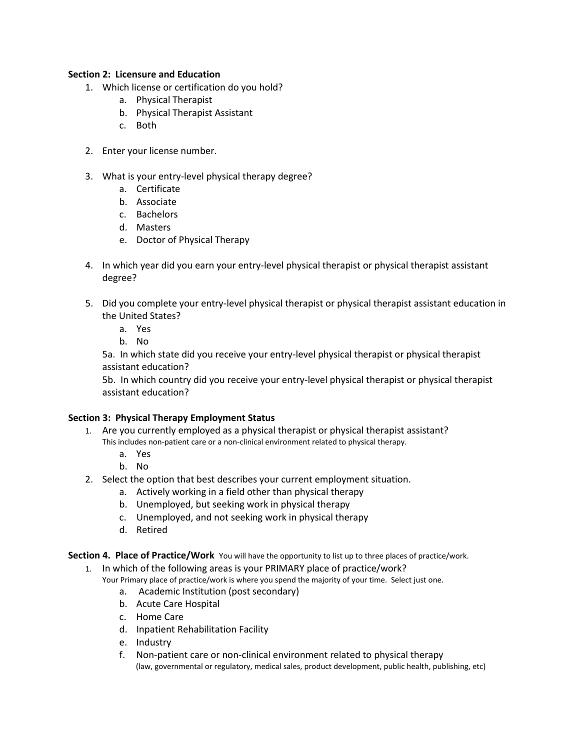### **Section 2: Licensure and Education**

- 1. Which license or certification do you hold?
	- a. Physical Therapist
	- b. Physical Therapist Assistant
	- c. Both
- 2. Enter your license number.
- 3. What is your entry-level physical therapy degree?
	- a. Certificate
	- b. Associate
	- c. Bachelors
	- d. Masters
	- e. Doctor of Physical Therapy
- 4. In which year did you earn your entry-level physical therapist or physical therapist assistant degree?
- 5. Did you complete your entry-level physical therapist or physical therapist assistant education in the United States?
	- a. Yes
	- b. No

5a. In which state did you receive your entry-level physical therapist or physical therapist assistant education?

5b. In which country did you receive your entry-level physical therapist or physical therapist assistant education?

### **Section 3: Physical Therapy Employment Status**

- 1. Are you currently employed as a physical therapist or physical therapist assistant? This includes non-patient care or a non-clinical environment related to physical therapy.
	- a. Yes
	- b. No
- 2. Select the option that best describes your current employment situation.
	- a. Actively working in a field other than physical therapy
	- b. Unemployed, but seeking work in physical therapy
	- c. Unemployed, and not seeking work in physical therapy
	- d. Retired

**Section 4. Place of Practice/Work** You will have the opportunity to list up to three places of practice/work.

1. In which of the following areas is your PRIMARY place of practice/work?

Your Primary place of practice/work is where you spend the majority of your time. Select just one.

- a. Academic Institution (post secondary)
- b. Acute Care Hospital
- c. Home Care
- d. Inpatient Rehabilitation Facility
- e. Industry
- f. Non-patient care or non-clinical environment related to physical therapy (law, governmental or regulatory, medical sales, product development, public health, publishing, etc)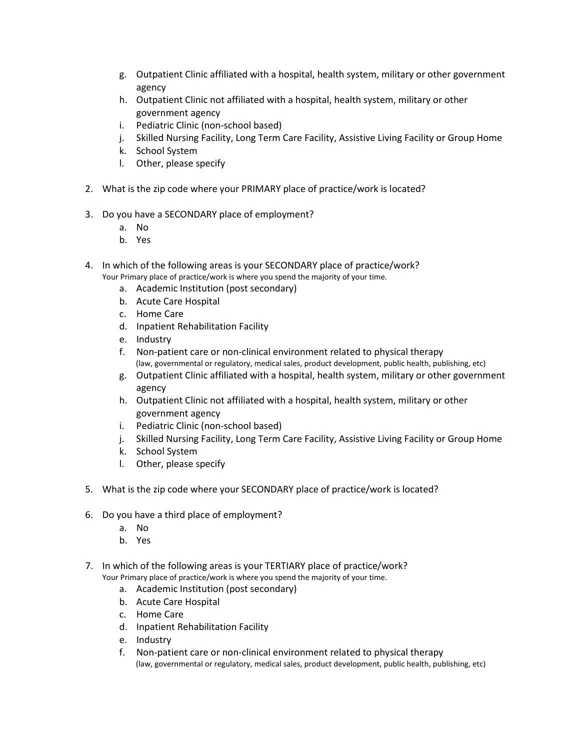- g. Outpatient Clinic affiliated with a hospital, health system, military or other government agency
- h. Outpatient Clinic not affiliated with a hospital, health system, military or other government agency
- i. Pediatric Clinic (non-school based)
- j. Skilled Nursing Facility, Long Term Care Facility, Assistive Living Facility or Group Home
- k. School System
- l. Other, please specify
- 2. What is the zip code where your PRIMARY place of practice/work is located?
- 3. Do you have a SECONDARY place of employment?
	- a. No
	- b. Yes
- 4. In which of the following areas is your SECONDARY place of practice/work?
	- Your Primary place of practice/work is where you spend the majority of your time.
		- a. Academic Institution (post secondary)
		- b. Acute Care Hospital
		- c. Home Care
		- d. Inpatient Rehabilitation Facility
		- e. Industry
		- f. Non-patient care or non-clinical environment related to physical therapy (law, governmental or regulatory, medical sales, product development, public health, publishing, etc)
		- g. Outpatient Clinic affiliated with a hospital, health system, military or other government agency
		- h. Outpatient Clinic not affiliated with a hospital, health system, military or other government agency
		- i. Pediatric Clinic (non-school based)
		- j. Skilled Nursing Facility, Long Term Care Facility, Assistive Living Facility or Group Home
		- k. School System
		- l. Other, please specify
- 5. What is the zip code where your SECONDARY place of practice/work is located?
- 6. Do you have a third place of employment?
	- a. No
	- b. Yes
- 7. In which of the following areas is your TERTIARY place of practice/work? Your Primary place of practice/work is where you spend the majority of your time.
	- a. Academic Institution (post secondary)
	- b. Acute Care Hospital
	- c. Home Care
	- d. Inpatient Rehabilitation Facility
	- e. Industry
	- f. Non-patient care or non-clinical environment related to physical therapy (law, governmental or regulatory, medical sales, product development, public health, publishing, etc)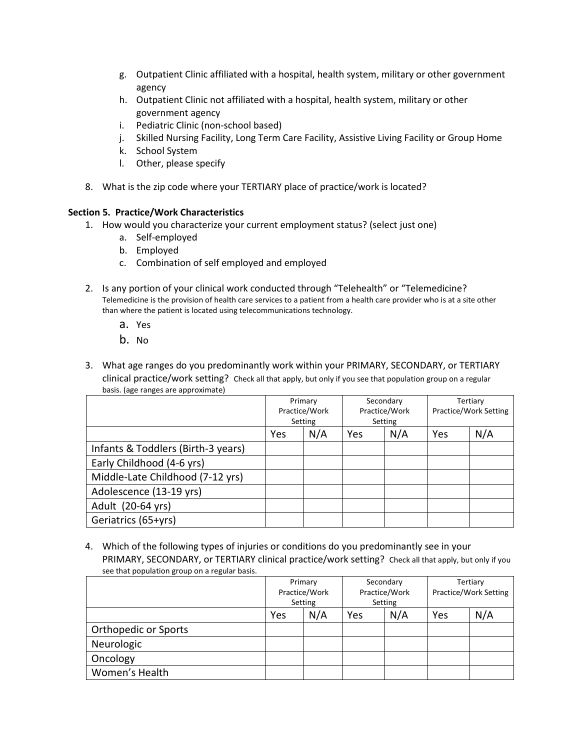- g. Outpatient Clinic affiliated with a hospital, health system, military or other government agency
- h. Outpatient Clinic not affiliated with a hospital, health system, military or other government agency
- i. Pediatric Clinic (non-school based)
- j. Skilled Nursing Facility, Long Term Care Facility, Assistive Living Facility or Group Home
- k. School System
- l. Other, please specify
- 8. What is the zip code where your TERTIARY place of practice/work is located?

#### **Section 5. Practice/Work Characteristics**

- 1. How would you characterize your current employment status? (select just one)
	- a. Self-employed
	- b. Employed
	- c. Combination of self employed and employed
- 2. Is any portion of your clinical work conducted through "Telehealth" or "Telemedicine? Telemedicine is the provision of health care services to a patient from a health care provider who is at a site other than where the patient is located using telecommunications technology.
	- a. Yes
	- b. No
- 3. What age ranges do you predominantly work within your PRIMARY, SECONDARY, or TERTIARY clinical practice/work setting? Check all that apply, but only if you see that population group on a regular basis. (age ranges are approximate)

|                                    | Primary<br>Practice/Work<br>Setting |  |            | Secondary<br>Practice/Work<br>Setting | Tertiary<br>Practice/Work Setting |     |
|------------------------------------|-------------------------------------|--|------------|---------------------------------------|-----------------------------------|-----|
|                                    | N/A<br>Yes                          |  | N/A<br>Yes |                                       | Yes                               | N/A |
| Infants & Toddlers (Birth-3 years) |                                     |  |            |                                       |                                   |     |
| Early Childhood (4-6 yrs)          |                                     |  |            |                                       |                                   |     |
| Middle-Late Childhood (7-12 yrs)   |                                     |  |            |                                       |                                   |     |
| Adolescence (13-19 yrs)            |                                     |  |            |                                       |                                   |     |
| Adult (20-64 yrs)                  |                                     |  |            |                                       |                                   |     |
| Geriatrics (65+yrs)                |                                     |  |            |                                       |                                   |     |

4. Which of the following types of injuries or conditions do you predominantly see in your PRIMARY, SECONDARY, or TERTIARY clinical practice/work setting? Check all that apply, but only if you see that population group on a regular basis.

|                      | Primary       |  | Secondary     |     | Tertiary              |     |
|----------------------|---------------|--|---------------|-----|-----------------------|-----|
|                      | Practice/Work |  | Practice/Work |     | Practice/Work Setting |     |
|                      | Setting       |  | Setting       |     |                       |     |
|                      | N/A<br>Yes    |  | Yes           | N/A | Yes                   | N/A |
| Orthopedic or Sports |               |  |               |     |                       |     |
| Neurologic           |               |  |               |     |                       |     |
| Oncology             |               |  |               |     |                       |     |
| Women's Health       |               |  |               |     |                       |     |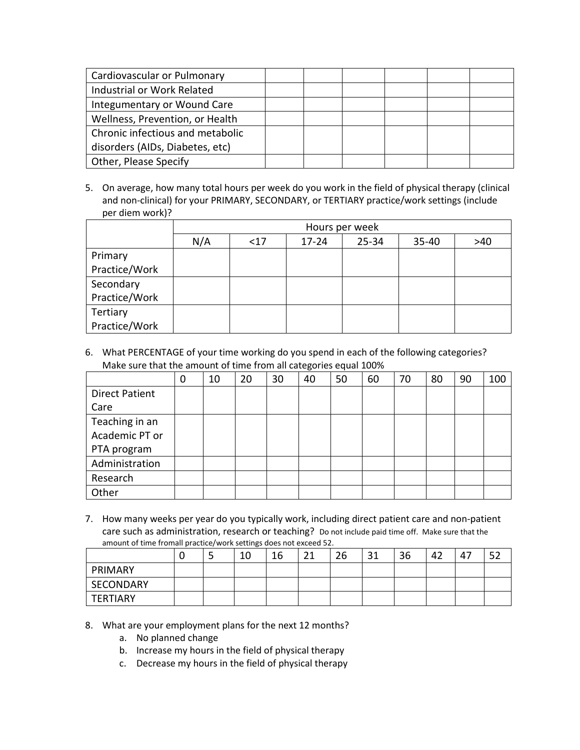| Cardiovascular or Pulmonary      |  |  |  |
|----------------------------------|--|--|--|
| Industrial or Work Related       |  |  |  |
| Integumentary or Wound Care      |  |  |  |
| Wellness, Prevention, or Health  |  |  |  |
| Chronic infectious and metabolic |  |  |  |
| disorders (AIDs, Diabetes, etc)  |  |  |  |
| Other, Please Specify            |  |  |  |

5. On average, how many total hours per week do you work in the field of physical therapy (clinical and non-clinical) for your PRIMARY, SECONDARY, or TERTIARY practice/work settings (include per diem work)?

|               | Hours per week |      |           |           |       |     |  |  |  |  |
|---------------|----------------|------|-----------|-----------|-------|-----|--|--|--|--|
|               | N/A            | $17$ | $17 - 24$ | $25 - 34$ | 35-40 | >40 |  |  |  |  |
| Primary       |                |      |           |           |       |     |  |  |  |  |
| Practice/Work |                |      |           |           |       |     |  |  |  |  |
| Secondary     |                |      |           |           |       |     |  |  |  |  |
| Practice/Work |                |      |           |           |       |     |  |  |  |  |
| Tertiary      |                |      |           |           |       |     |  |  |  |  |
| Practice/Work |                |      |           |           |       |     |  |  |  |  |

6. What PERCENTAGE of your time working do you spend in each of the following categories? Make sure that the amount of time from all categories equal 100%

|                       | 0 | 10 | 20 | 30 | 40 | 50 | 60 | 70 | 80 | 90 | 100 |
|-----------------------|---|----|----|----|----|----|----|----|----|----|-----|
| <b>Direct Patient</b> |   |    |    |    |    |    |    |    |    |    |     |
| Care                  |   |    |    |    |    |    |    |    |    |    |     |
| Teaching in an        |   |    |    |    |    |    |    |    |    |    |     |
| Academic PT or        |   |    |    |    |    |    |    |    |    |    |     |
| PTA program           |   |    |    |    |    |    |    |    |    |    |     |
| Administration        |   |    |    |    |    |    |    |    |    |    |     |
| Research              |   |    |    |    |    |    |    |    |    |    |     |
| Other                 |   |    |    |    |    |    |    |    |    |    |     |

7. How many weeks per year do you typically work, including direct patient care and non-patient care such as administration, research or teaching? Do not include paid time off. Make sure that the amount of time fromall practice/work settings does not exceed 52.

|                 | ີ | 10 | 16 | 21<br>ᅀ | 26 | 31 | 36 | 42 | 47 | - -<br>ے ر |
|-----------------|---|----|----|---------|----|----|----|----|----|------------|
| PRIMARY         |   |    |    |         |    |    |    |    |    |            |
| SECONDARY       |   |    |    |         |    |    |    |    |    |            |
| <b>TERTIARY</b> |   |    |    |         |    |    |    |    |    |            |

- 8. What are your employment plans for the next 12 months?
	- a. No planned change
	- b. Increase my hours in the field of physical therapy
	- c. Decrease my hours in the field of physical therapy